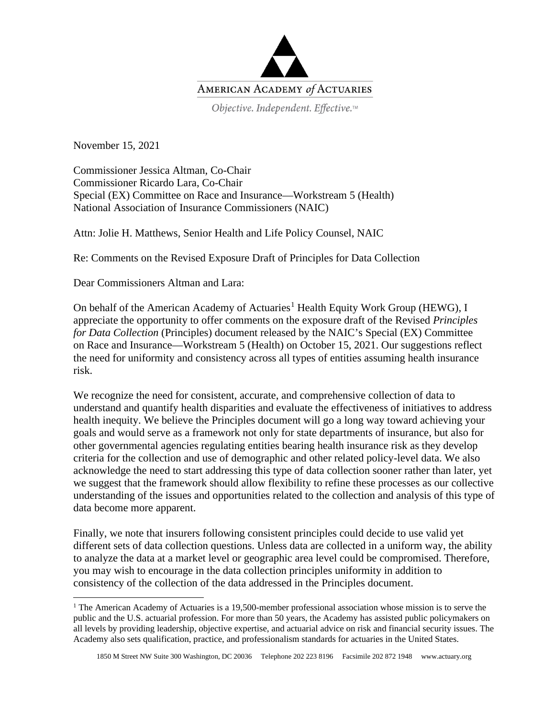

Objective. Independent. Effective.™

November 15, 2021

Commissioner Jessica Altman, Co-Chair Commissioner Ricardo Lara, Co-Chair Special (EX) Committee on Race and Insurance—Workstream 5 (Health) National Association of Insurance Commissioners (NAIC)

Attn: Jolie H. Matthews, Senior Health and Life Policy Counsel, NAIC

Re: Comments on the Revised Exposure Draft of Principles for Data Collection

Dear Commissioners Altman and Lara:

On behalf of the American Academy of Actuaries<sup>[1](#page-0-0)</sup> Health Equity Work Group (HEWG), I appreciate the opportunity to offer comments on the exposure draft of the Revised *Principles for Data Collection* (Principles) document released by the NAIC's Special (EX) Committee on Race and Insurance—Workstream 5 (Health) on October 15, 2021. Our suggestions reflect the need for uniformity and consistency across all types of entities assuming health insurance risk.

We recognize the need for consistent, accurate, and comprehensive collection of data to understand and quantify health disparities and evaluate the effectiveness of initiatives to address health inequity. We believe the Principles document will go a long way toward achieving your goals and would serve as a framework not only for state departments of insurance, but also for other governmental agencies regulating entities bearing health insurance risk as they develop criteria for the collection and use of demographic and other related policy-level data. We also acknowledge the need to start addressing this type of data collection sooner rather than later, yet we suggest that the framework should allow flexibility to refine these processes as our collective understanding of the issues and opportunities related to the collection and analysis of this type of data become more apparent.

Finally, we note that insurers following consistent principles could decide to use valid yet different sets of data collection questions. Unless data are collected in a uniform way, the ability to analyze the data at a market level or geographic area level could be compromised. Therefore, you may wish to encourage in the data collection principles uniformity in addition to consistency of the collection of the data addressed in the Principles document.

<span id="page-0-0"></span> $1$  The American Academy of Actuaries is a 19,500-member professional association whose mission is to serve the public and the U.S. actuarial profession. For more than 50 years, the Academy has assisted public policymakers on all levels by providing leadership, objective expertise, and actuarial advice on risk and financial security issues. The Academy also sets qualification, practice, and professionalism standards for actuaries in the United States.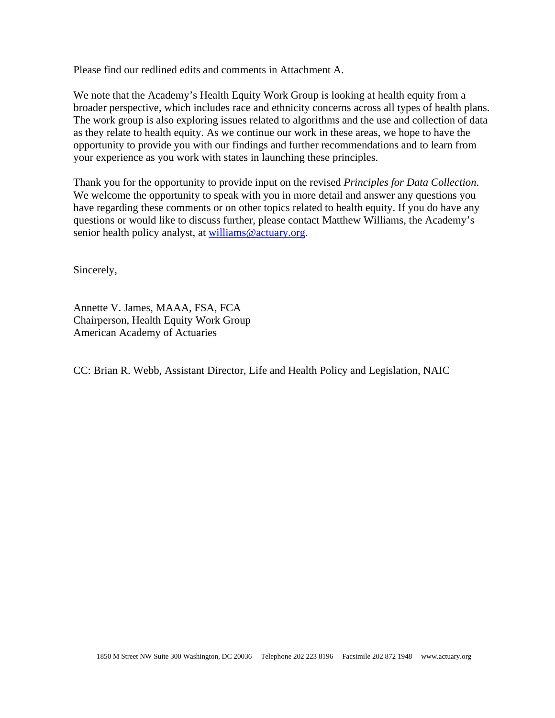Please find our redlined edits and comments in Attachment A.

We note that the Academy's Health Equity Work Group is looking at health equity from a broader perspective, which includes race and ethnicity concerns across all types of health plans. The work group is also exploring issues related to algorithms and the use and collection of data as they relate to health equity. As we continue our work in these areas, we hope to have the opportunity to provide you with our findings and further recommendations and to learn from your experience as you work with states in launching these principles.

Thank you for the opportunity to provide input on the revised *Principles for Data Collection*. We welcome the opportunity to speak with you in more detail and answer any questions you have regarding these comments or on other topics related to health equity. If you do have any questions or would like to discuss further, please contact Matthew Williams, the Academy's senior health policy analyst, at [williams@actuary.org.](mailto:williams@actuary.org)

Sincerely,

Annette V. James, MAAA, FSA, FCA Chairperson, Health Equity Work Group American Academy of Actuaries

CC: Brian R. Webb, Assistant Director, Life and Health Policy and Legislation, NAIC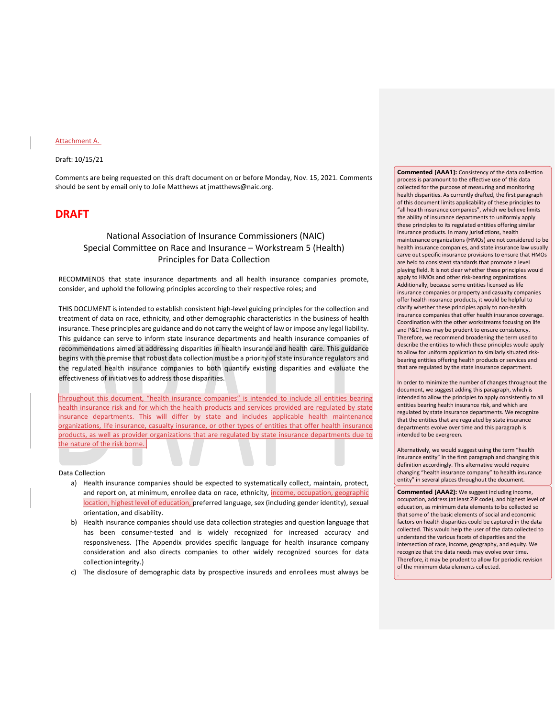### Attachment A.

## Draft: 10/15/21

Comments are being requested on this draft document on or before Monday, Nov. 15, 2021. Comments should be sent by email only to Jolie Matthews at jmatthews@naic.org.

# **DRAFT**

# National Association of Insurance Commissioners (NAIC) Special Committee on Race and Insurance – Workstream 5 (Health) Principles for Data Collection

RECOMMENDS that state insurance departments and all health insurance companies promote, consider, and uphold the following principles according to their respective roles; and

THIS DOCUMENT is intended to establish consistent high-level guiding principles for the collection and treatment of data on race, ethnicity, and other demographic characteristics in the business of health insurance. These principles are guidance and do not carry the weight of law or impose any legal liability. This guidance can serve to inform state insurance departments and health insurance companies of recommendations aimed at addressing disparities in health insurance and health care. This guidance begins with the premise that robust data collection must be a priority of state insurance regulators and the regulated health insurance companies to both quantify existing disparities and evaluate the effectiveness of initiatives to address those disparities.

Throughout this document, "health insurance companies" is intended to include all entities bearing health insurance risk and for which the health products and services provided are regulated by state insurance departments. This will differ by state and includes applicable health maintenance organizations, life insurance, casualty insurance, or other types of entities that offer health insurance products, as well as provider organizations that are regulated by state insurance departments due to the nature of the risk borne.

#### Data Collection

- a) Health insurance companies should be expected to systematically collect, maintain, protect, and report on, at minimum, enrollee data on race, ethnicity, *income*, occupation, geographic location, highest level of education, preferred language, sex (including gender identity), sexual orientation, and disability.
- b) Health insurance companies should use data collection strategies and question language that has been consumer-tested and is widely recognized for increased accuracy and responsiveness. (The Appendix provides specific language for health insurance company consideration and also directs companies to other widely recognized sources for data collection integrity.)
- c) The disclosure of demographic data by prospective insureds and enrollees must always be

**Commented [AAA1]:** Consistency of the data collection process is paramount to the effective use of this data collected for the purpose of measuring and monitoring health disparities. As currently drafted, the first paragraph of this document limits applicability of these principles to "all health insurance companies", which we believe limits the ability of insurance departments to uniformly apply these principles to its regulated entities offering similar insurance products. In many jurisdictions, health maintenance organizations (HMOs) are not considered to be health insurance companies, and state insurance law usually carve out specific insurance provisions to ensure that HMOs are held to consistent standards that promote a level playing field. It is not clear whether these principles would apply to HMOs and other risk-bearing organizations. Additionally, because some entities licensed as life insurance companies or property and casualty companies offer health insurance products, it would be helpful to clarify whether these principles apply to non-health insurance companies that offer health insurance coverage. Coordination with the other workstreams focusing on life and P&C lines may be prudent to ensure consistency. Therefore, we recommend broadening the term used to describe the entities to which these principles would apply to allow for uniform application to similarly situated riskbearing entities offering health products or services and that are regulated by the state insurance department.

In order to minimize the number of changes throughout the document, we suggest adding this paragraph, which is intended to allow the principles to apply consistently to all entities bearing health insurance risk, and which are regulated by state insurance departments. We recognize that the entities that are regulated by state insurance departments evolve over time and this paragraph is intended to be evergreen.

Alternatively, we would suggest using the term "health insurance entity" in the first paragraph and changing this definition accordingly. This alternative would require changing "health insurance company" to health insurance entity" in several places throughout the document.

**Commented [AAA2]:** We suggest including income, occupation, address (at least ZIP code), and highest level of education, as minimum data elements to be collected so that some of the basic elements of social and economic factors on health disparities could be captured in the data collected. This would help the user of the data collected to understand the various facets of disparities and the intersection of race, income, geography, and equity. We recognize that the data needs may evolve over time. Therefore, it may be prudent to allow for periodic revision of the minimum data elements collected.

.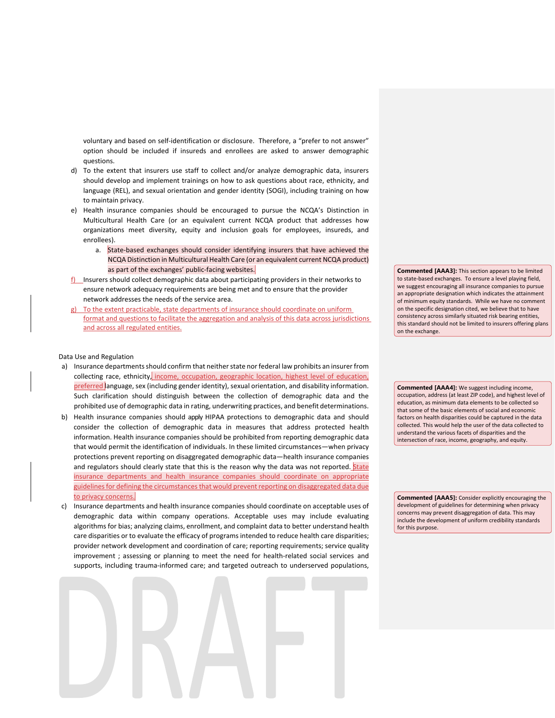voluntary and based on self-identification or disclosure. Therefore, a "prefer to not answer" option should be included if insureds and enrollees are asked to answer demographic questions.

- d) To the extent that insurers use staff to collect and/or analyze demographic data, insurers should develop and implement trainings on how to ask questions about race, ethnicity, and language (REL), and sexual orientation and gender identity (SOGI), including training on how to maintain privacy.
- e) Health insurance companies should be encouraged to pursue the NCQA's Distinction in Multicultural Health Care (or an equivalent current NCQA product that addresses how organizations meet diversity, equity and inclusion goals for employees, insureds, and enrollees).
	- a. State-based exchanges should consider identifying insurers that have achieved the NCQA Distinction in Multicultural Health Care (or an equivalent current NCQA product) as part of the exchanges' public-facing websites.
- f) Insurers should collect demographic data about participating providers in their networks to ensure network adequacy requirements are being met and to ensure that the provider network addresses the needs of the service area.
- g) To the extent practicable, state departments of insurance should coordinate on uniform format and questions to facilitate the aggregation and analysis of this data across jurisdictions and across all regulated entities.

### Data Use and Regulation

- a) Insurance departments should confirm that neither state nor federal law prohibits an insurer from collecting race, ethnicity, income, occupation, geographic location, highest level of education, preferred language, sex (including gender identity), sexual orientation, and disability information. Such clarification should distinguish between the collection of demographic data and the prohibited use of demographic data in rating, underwriting practices, and benefit determinations.
- b) Health insurance companies should apply HIPAA protections to demographic data and should consider the collection of demographic data in measures that address protected health information. Health insurance companies should be prohibited from reporting demographic data that would permit the identification of individuals. In these limited circumstances—when privacy protections prevent reporting on disaggregated demographic data—health insurance companies and regulators should clearly state that this is the reason why the data was not reported. State insurance departments and health insurance companies should coordinate on appropriate guidelines for defining the circumstances that would prevent reporting on disaggregated data due to privacy concerns.
- c) Insurance departments and health insurance companies should coordinate on acceptable uses of demographic data within company operations. Acceptable uses may include evaluating algorithms for bias; analyzing claims, enrollment, and complaint data to better understand health care disparities or to evaluate the efficacy of programsintended to reduce health care disparities; provider network development and coordination of care; reporting requirements; service quality improvement ; assessing or planning to meet the need for health-related social services and supports, including trauma-informed care; and targeted outreach to underserved populations,

**Commented [AAA3]:** This section appears to be limited to state-based exchanges. To ensure a level playing field, we suggest encouraging all insurance companies to pursue an appropriate designation which indicates the attainment of minimum equity standards. While we have no comment on the specific designation cited, we believe that to have consistency across similarly situated risk bearing entities, this standard should not be limited to insurers offering plans on the exchange.

**Commented [AAA4]:** We suggest including income, occupation, address (at least ZIP code), and highest level of education, as minimum data elements to be collected so that some of the basic elements of social and economic factors on health disparities could be captured in the data collected. This would help the user of the data collected to understand the various facets of disparities and the intersection of race, income, geography, and equity.

**Commented [AAA5]:** Consider explicitly encouraging the development of guidelines for determining when privacy concerns may prevent disaggregation of data. This may include the development of uniform credibility standards for this purpose.

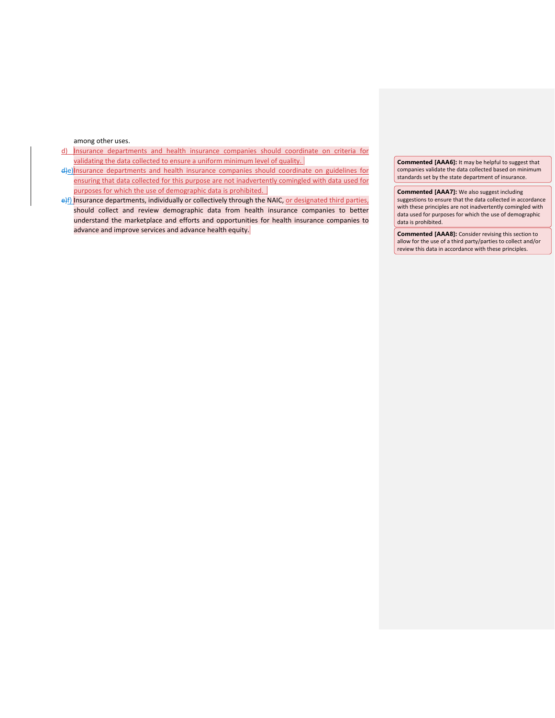among other uses.

- d) Insurance departments and health insurance companies should coordinate on criteria for validating the data collected to ensure a uniform minimum level of quality.
- d)e) nsurance departments and health insurance companies should coordinate on guidelines for ensuring that data collected for this purpose are not inadvertently comingled with data used for purposes for which the use of demographic data is prohibited.
- e)f) Insurance departments, individually or collectively through the NAIC, or designated third parties, should collect and review demographic data from health insurance companies to better understand the marketplace and efforts and opportunities for health insurance companies to advance and improve services and advance health equity.

**Commented [AAA6]:** It may be helpful to suggest that companies validate the data collected based on minimum standards set by the state department of insurance.

**Commented [AAA7]:** We also suggest including suggestions to ensure that the data collected in accordance with these principles are not inadvertently comingled with data used for purposes for which the use of demographic data is prohibited.

**Commented [AAA8]:** Consider revising this section to allow for the use of a third party/parties to collect and/or review this data in accordance with these principles.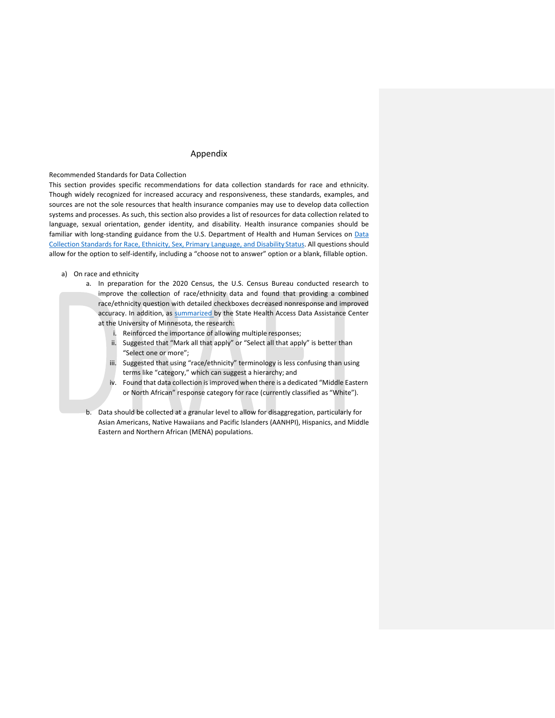# Appendix

# Recommended Standards for Data Collection

This section provides specific recommendations for data collection standards for race and ethnicity. Though widely recognized for increased accuracy and responsiveness, these standards, examples, and sources are not the sole resources that health insurance companies may use to develop data collection systems and processes. As such, this section also provides a list of resources for data collection related to language, sexual orientation, gender identity, and disability. Health insurance companies should be familiar with long-standing guidance from the U.S. Department of Health and Human Services on [Data](https://aspe.hhs.gov/basic-report/hhs-implementation-guidance-data-collection-standards-race-ethnicity-sex-primary-language-and-disability-status) [Collection Standards for Race, Ethnicity, Sex, Primary Language, and Disability](https://aspe.hhs.gov/basic-report/hhs-implementation-guidance-data-collection-standards-race-ethnicity-sex-primary-language-and-disability-status) Status. All questions should allow for the option to self-identify, including a "choose not to answer" option or a blank, fillable option.

- a) On race and ethnicity
	- a. In preparation for the 2020 Census, the U.S. Census Bureau conducted research to improve the collection of race/ethnicity data and found that providing a combined race/ethnicity question with detailed checkboxes decreased nonresponse and improved accuracy. In addition, as [summarized b](https://www.shvs.org/wp-content/uploads/2021/05/SHVS-50-State-Review-EDITED.pdf)y the State Health Access Data Assistance Center at the University of Minnesota, the research:
		- i. Reinforced the importance of allowing multiple responses;
		- ii. Suggested that "Mark all that apply" or "Select all that apply" is better than "Select one or more";
		- iii. Suggested that using "race/ethnicity" terminology is less confusing than using terms like "category," which can suggest a hierarchy; and
		- iv. Found that data collection is improved when there is a dedicated "Middle Eastern or North African" response category for race (currently classified as "White").
	- b. Data should be collected at a granular level to allow for disaggregation, particularly for Asian Americans, Native Hawaiians and Pacific Islanders (AANHPI), Hispanics, and Middle Eastern and Northern African (MENA) populations.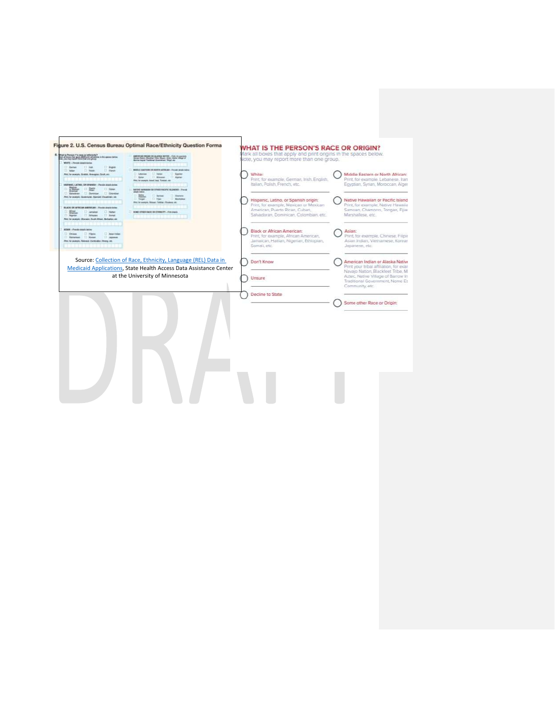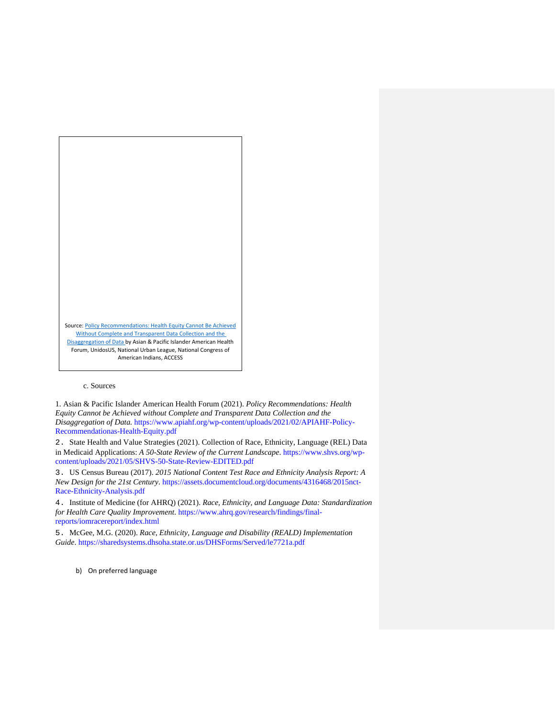

### c. Sources

1. Asian & Pacific Islander American Health Forum (2021). *Policy Recommendations: Health Equity Cannot be Achieved without Complete and Transparent Data Collection and the Disaggregation of Data.* https://www.apiahf.org/wp-content/uploads/2021/02/APIAHF-Policy-Recommendationas-Health-Equity.pdf

2. State Health and Value Strategies (2021). Collection of Race, Ethnicity, Language (REL) Data in Medicaid Applications: *A 50-State Review of the Current Landscape*. https://www.shvs.org/wpcontent/uploads/2021/05/SHVS-50-State-Review-EDITED.pdf

3. US Census Bureau (2017). *2015 National Content Test Race and Ethnicity Analysis Report: A New Design for the 21st Century*. https://assets.documentcloud.org/documents/4316468/2015nct-Race-Ethnicity-Analysis.pdf

4. Institute of Medicine (for AHRQ) (2021). *Race, Ethnicity, and Language Data: Standardization for Health Care Quality Improvement*. https://www.ahrq.gov/research/findings/finalreports/iomracereport/index.html

5. McGee, M.G. (2020). *Race, Ethnicity, Language and Disability (REALD) Implementation Guide*. https://sharedsystems.dhsoha.state.or.us/DHSForms/Served/le7721a.pdf

b) On preferred language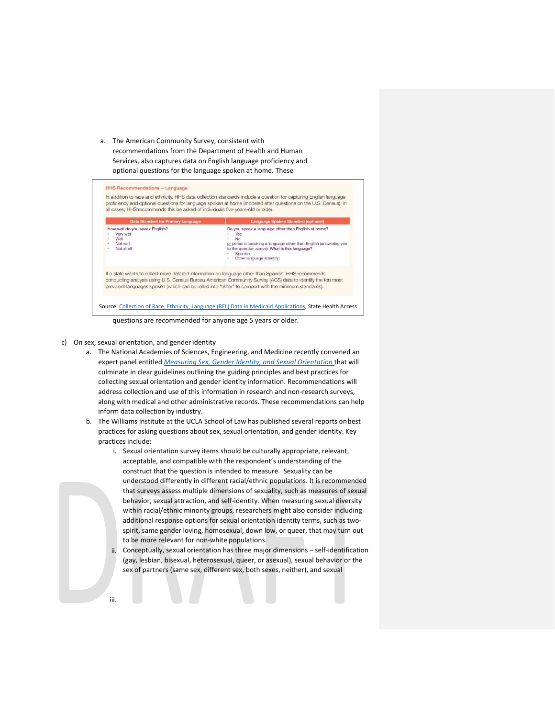a. The American Community Survey, consistent with recommendations from the Department of Health and Human Services, also captures data on English language proficiency and optional questions for the language spoken at home. These

| <b>Data Standard for Primary Language</b>                                     | Language Spoken Standard (optional)                                                                                                                                                                                                                                                                                        |
|-------------------------------------------------------------------------------|----------------------------------------------------------------------------------------------------------------------------------------------------------------------------------------------------------------------------------------------------------------------------------------------------------------------------|
| How well do you speak English?<br>Very well<br>Well<br>Not well<br>Not at all | Do you speak a language other than English at home?<br>YAS<br>No<br>or persons speaking a language other than English (answering yes<br>to the question above): What is this language?<br>Spanish<br>Other language (Identify)                                                                                             |
|                                                                               | If a state wants to collect more detailed information on language other than Spanish, HHS recommends<br>conducting analysis using U.S. Census Bureau American Community Survey (ACS) data to identify the ten most<br>prevalent languages spoken (which can be rolled into "other" to comport with the minimum standards). |

questions are recommended for anyone age 5 years or older.

- c) On sex, sexual orientation, and genderidentity
	- a. The National Academies of Sciences, Engineering, and Medicine recently convened an expert panel entitled *[Measuring Sex, Gender Identity, and Sexual Orientation](https://www.nationalacademies.org/our-work/measuring-sex-gender-identity-and-sexual-orientation-for-the-national-institutes-of-health)* that will culminate in clear guidelines outlining the guiding principles and best practices for collecting sexual orientation and gender identity information. Recommendations will address collection and use of this information in research and non-research surveys, along with medical and other administrative records. These recommendations can help inform data collection by industry.
	- b. The Williams Institute at the UCLA School of Law has published several reports onbest practices for asking questions about sex, sexual orientation, and gender identity. Key practices include:
		- i. Sexual orientation survey items should be culturally appropriate, relevant, acceptable, and compatible with the respondent's understanding of the construct that the question is intended to measure. Sexuality can be understood differently in different racial/ethnic populations. It is recommended that surveys assess multiple dimensions of sexuality, such as measures of sexual behavior, sexual attraction, and self-identity. When measuring sexual diversity within racial/ethnic minority groups, researchers might also consider including additional response options for sexual orientation identity terms, such as twospirit, same gender loving, homosexual, down low, or queer, that may turn out to be more relevant for non-white populations.
			- Conceptually, sexual orientation has three major dimensions self-identification (gay, lesbian, bisexual, heterosexual, queer, or asexual), sexual behavior or the sex of partners (same sex, different sex, both sexes, neither), and sexual

ii.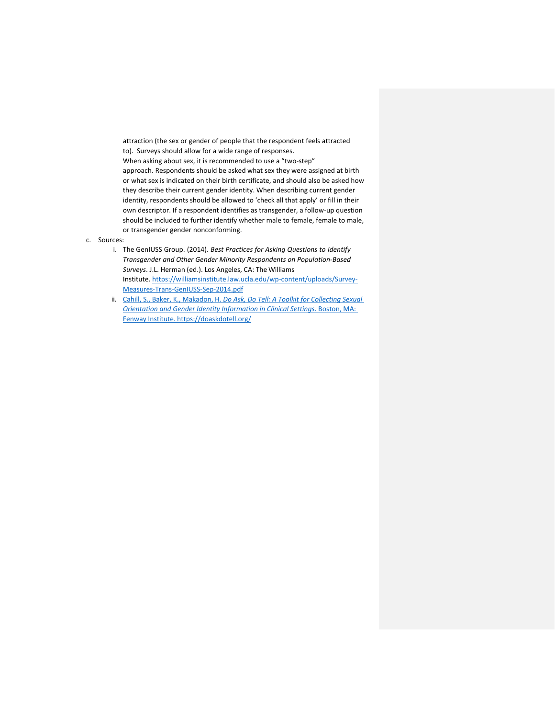attraction (the sex or gender of people that the respondent feels attracted to). Surveys should allow for a wide range of responses. When asking about sex, it is recommended to use a "two-step" approach. Respondents should be asked what sex they were assigned at birth or what sex is indicated on their birth certificate, and should also be asked how they describe their current gender identity. When describing current gender identity, respondents should be allowed to 'check all that apply' or fill in their own descriptor. If a respondent identifies as transgender, a follow-up question should be included to further identify whether male to female, female to male, or transgender gender nonconforming.

## c. Sources:

- i. The GenIUSS Group. (2014). *Best Practices for Asking Questions to Identify Transgender and Other Gender Minority Respondents on Population-Based Surveys*. J.L. Herman (ed.). Los Angeles, CA: The Williams Institute[. https://williamsinstitute.law.ucla.edu/wp-content/uploads/Survey-](https://williamsinstitute.law.ucla.edu/wp-content/uploads/Survey-Measures-Trans-GenIUSS-Sep-2014.pdf)[Measures-Trans-GenIUSS-Sep-2014.pdf](https://williamsinstitute.law.ucla.edu/wp-content/uploads/Survey-Measures-Trans-GenIUSS-Sep-2014.pdf)
- ii. Cahill, S., Baker, K., Makadon, H. *Do Ask, Do Tell: A Toolkit for Collecting Sexual Orientation and Gender Identity Information in Clinical Settings*. Boston, MA: Fenway Institute. <https://doaskdotell.org/>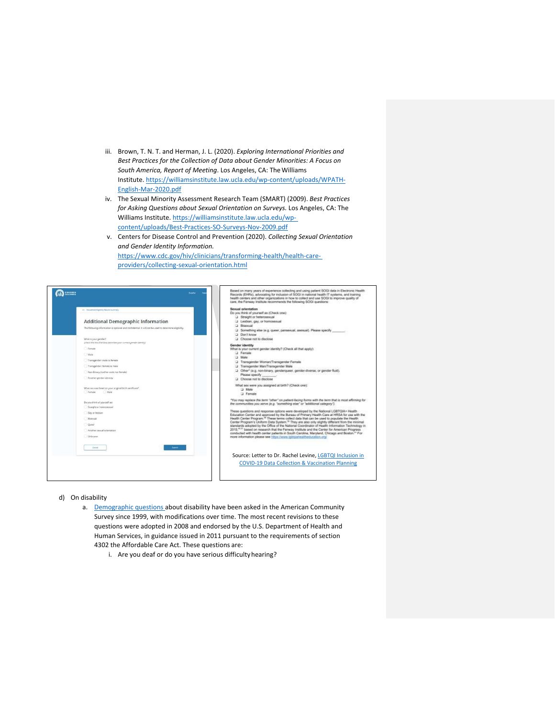- iii. Brown, T. N. T. and Herman, J. L. (2020). *Exploring International Priorities and Best Practices for the Collection of Data about Gender Minorities: A Focus on*  South America, Report of Meeting. Los Angeles, CA: The Williams Institute[. https://williamsinstitute.law.ucla.edu/wp-content/uploads/WPATH-](https://williamsinstitute.law.ucla.edu/wp-content/uploads/WPATH-English-Mar-2020.pdf)[English-Mar-2020.pdf](https://williamsinstitute.law.ucla.edu/wp-content/uploads/WPATH-English-Mar-2020.pdf)
- iv. The Sexual Minority Assessment Research Team (SMART) (2009). *Best Practices for Asking Questions about Sexual Orientation on Surveys.* Los Angeles, CA: The Williams Institute. [https://williamsinstitute.law.ucla.edu/wp](https://williamsinstitute.law.ucla.edu/wp-content/uploads/Best-Practices-SO-Surveys-Nov-2009.pdf)[content/uploads/Best-Practices-SO-Surveys-Nov-2009.pdf](https://williamsinstitute.law.ucla.edu/wp-content/uploads/Best-Practices-SO-Surveys-Nov-2009.pdf)
- v. Centers for Disease Control and Prevention (2020). *Collecting Sexual Orientation and Gender Identity Information.*  [https://www.cdc.gov/hiv/clinicians/transforming-health/health-care](https://www.cdc.gov/hiv/clinicians/transforming-health/health-care-providers/collecting-sexual-orientation.html)[providers/collecting-sexual-orientation.html](https://www.cdc.gov/hiv/clinicians/transforming-health/health-care-providers/collecting-sexual-orientation.html)

| COVERED                                                                                                                                                                                                                                                                                                                                                                                                                                                                                                                                                                                                                               | Based on many years of experience collecting and using patient SOGI data in Electronic Health<br><b>Formital</b><br>Records (EHRs), advocating for inclusion of SOGI in national health IT systems, and training<br>health centers and other organizations in how to collect and use SOGI to improve quality of<br>care, the Ferway Institute recommends the following SOGI questions:                                                                                                                                                                                                                                                                                                                                                                                                                                                                                                                                                                                                                                                                                                                                                                                                                                                                                                                                                                                              |
|---------------------------------------------------------------------------------------------------------------------------------------------------------------------------------------------------------------------------------------------------------------------------------------------------------------------------------------------------------------------------------------------------------------------------------------------------------------------------------------------------------------------------------------------------------------------------------------------------------------------------------------|-------------------------------------------------------------------------------------------------------------------------------------------------------------------------------------------------------------------------------------------------------------------------------------------------------------------------------------------------------------------------------------------------------------------------------------------------------------------------------------------------------------------------------------------------------------------------------------------------------------------------------------------------------------------------------------------------------------------------------------------------------------------------------------------------------------------------------------------------------------------------------------------------------------------------------------------------------------------------------------------------------------------------------------------------------------------------------------------------------------------------------------------------------------------------------------------------------------------------------------------------------------------------------------------------------------------------------------------------------------------------------------|
| - Household Eighting Results Summary<br>Additional Demographic Information<br>The following information is optional and confidential. It will not be used to determine eligibility.<br>What is your gender?<br>(check the box that they describes your coment gender allencial)<br>Female<br>1 Male<br>Transgenden male to female<br>Transpendent female to male<br>Non-Binary (neither male nor female)<br>Another gender identity<br>What see was listed on your original birth certificate?<br>Fernale<br>C. Male<br>Do you think of yourself as:<br>Straight or henergiesual<br>Gay or lesbian<br><b>Bisexual</b><br><b>Dueer</b> | Sexual orientation<br>Do you think of yourself as (Check one)<br>3 Straight or heterosexual<br>3 Lesbian, gay, or homosexual<br><b>El Biseauxi</b><br>(3) Something else in g. queer, pansexual, assxual). Please specify<br>Dean't know.<br>Chrose not to disclose<br>Gender identity<br>What is your current gender identity? (Check all that apply):<br><b>Fornale</b><br>U Male<br>3 Transgender Woman/Transgender Female<br>Ci Transgender Man/Transgender Male<br>[2] Other* (e.g. non-binary, gendertsueer, gender-diverse; or gender fluid).<br>Please specify<br>Choose not to disclose<br>What sex were you assigned at birth? (Check one):<br>La Male<br>Li Fernale<br>"You may replace the term 'other" on patient-bicing forms with the term that is most affirming for<br>the communities you serve /e.g. "sumething else" or "additional category").<br>These questions and response options were developed by the National LGBTQIA+ Health<br>Education Cerder and approved by the Bureau of Primary Health Care at HRSA for use with the<br>Health Center Program. <sup>15</sup> These terms collect data that can be used to populate the Health<br>Center Program's Uniform Data System. <sup>10</sup> They are also only slightly different from the minimal<br>standards adopted by the Office of the National Coordinator of Health Information Technology in |
| Another sexual orientation<br>Unknown<br>Salemin<br>Cancel                                                                                                                                                                                                                                                                                                                                                                                                                                                                                                                                                                            | 2015.4031 based on research that the Ferway Institute and the Center for American Progress.<br>conducted with health center patients in South Carolina, Maryland, Chicago and Boston. <sup>10</sup> For<br>more information please see rittra illeven intrinstruction complex engineers<br>Source: Letter to Dr. Rachel Levine, LGBTQI Inclusion in<br><b>COVID-19 Data Collection &amp; Vaccination Planning</b>                                                                                                                                                                                                                                                                                                                                                                                                                                                                                                                                                                                                                                                                                                                                                                                                                                                                                                                                                                   |

- d) On disability
	- a. [Demographic questions a](https://www.census.gov/topics/health/disability/guidance/data-collection-acs.html)bout disability have been asked in the American Community Survey since 1999, with modifications over time. The most recent revisions to these questions were adopted in 2008 and endorsed by the U.S. Department of Health and Human Services, in guidance issued in 2011 pursuant to the requirements of section 4302 the Affordable Care Act. These questions are:
		- i. Are you deaf or do you have serious difficultyhearing?